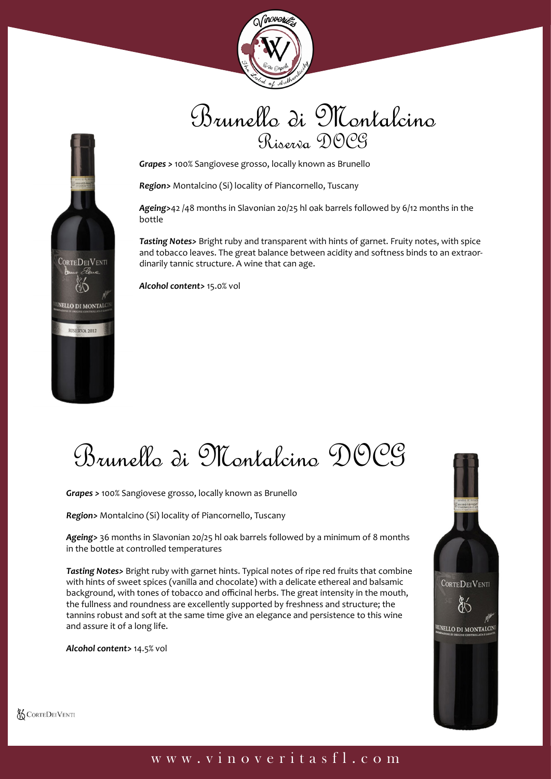

## Brunello di Montalcino Riserva DOCG



*Region>* Montalcino (Si) locality of Piancornello, Tuscany

*Ageing>*42 /48 months in Slavonian 20/25 hl oak barrels followed by 6/12 months in the bottle

*Tasting Notes>* Bright ruby and transparent with hints of garnet. Fruity notes, with spice and tobacco leaves. The great balance between acidity and softness binds to an extraordinarily tannic structure. A wine that can age.

*Alcohol content>* 15.0% vol

Brunello di Montalcino DOCG

*Grapes >* 100% Sangiovese grosso, locally known as Brunello

*Region>* Montalcino (Si) locality of Piancornello, Tuscany

*Ageing>* 36 months in Slavonian 20/25 hl oak barrels followed by a minimum of 8 months in the bottle at controlled temperatures

*Tasting Notes>* Bright ruby with garnet hints. Typical notes of ripe red fruits that combine with hints of sweet spices (vanilla and chocolate) with a delicate ethereal and balsamic background, with tones of tobacco and officinal herbs. The great intensity in the mouth, the fullness and roundness are excellently supported by freshness and structure; the tannins robust and soft at the same time give an elegance and persistence to this wine and assure it of a long life.

*Alcohol content>* 14.5% vol

**CORTEDEIVENTI** 

ĆΩ

NELLO DI MONTALO

RISERVA 2012



**& CORTEDEIVENTI** 

#### www.vinoveritasfl.com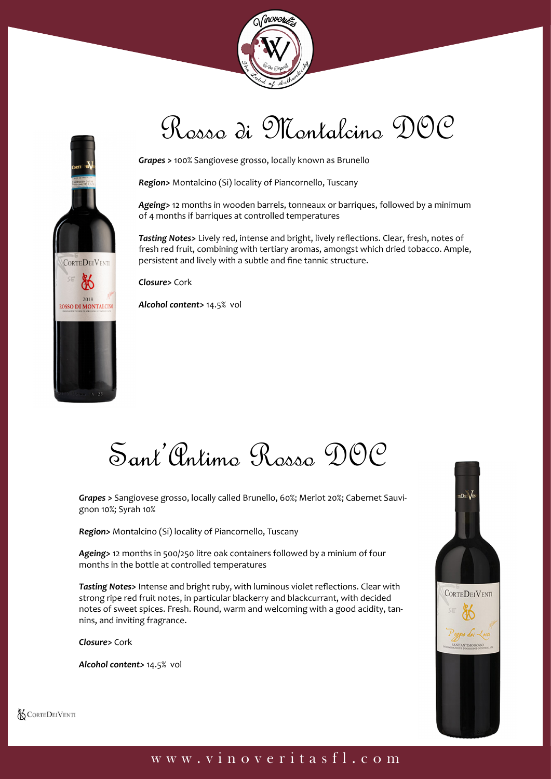



# Rosso di Montalcino DOC

*Grapes >* 100% Sangiovese grosso, locally known as Brunello

*Region>* Montalcino (Si) locality of Piancornello, Tuscany

*Ageing>* 12 months in wooden barrels, tonneaux or barriques, followed by a minimum of 4 months if barriques at controlled temperatures

*Tasting Notes>* Lively red, intense and bright, lively reflections. Clear, fresh, notes of fresh red fruit, combining with tertiary aromas, amongst which dried tobacco. Ample, persistent and lively with a subtle and fine tannic structure.

*Closure>* Cork

*Alcohol content>* 14.5% vol

Sant'Antimo Rosso DOC

*Grapes >* Sangiovese grosso, locally called Brunello, 60%; Merlot 20%; Cabernet Sauvignon 10%; Syrah 10%

*Region>* Montalcino (Si) locality of Piancornello, Tuscany

*Ageing>* 12 months in 500/250 litre oak containers followed by a minium of four months in the bottle at controlled temperatures

*Tasting Notes>* Intense and bright ruby, with luminous violet reflections. Clear with strong ripe red fruit notes, in particular blackerry and blackcurrant, with decided notes of sweet spices. Fresh. Round, warm and welcoming with a good acidity, tannins, and inviting fragrance.

*Closure>* Cork

*Alcohol content>* 14.5% vol



**& CORTEDEIVENTI** 

### www.vinoveritasfl.com